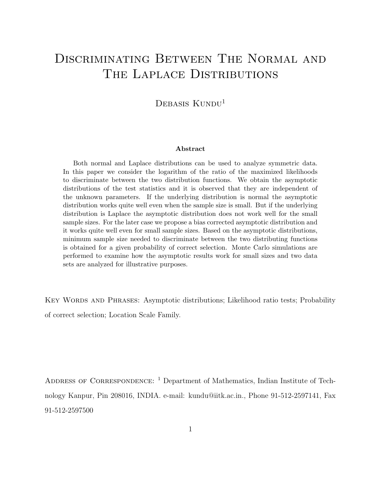# Discriminating Between The Normal and THE LAPLACE DISTRIBUTIONS

### DEBASIS  $K$ UNDU<sup>1</sup>

#### Abstract

Both normal and Laplace distributions can be used to analyze symmetric data. In this paper we consider the logarithm of the ratio of the maximized likelihoods to discriminate between the two distribution functions. We obtain the asymptotic distributions of the test statistics and it is observed that they are independent of the unknown parameters. If the underlying distribution is normal the asymptotic distribution works quite well even when the sample size is small. But if the underlying distribution is Laplace the asymptotic distribution does not work well for the small sample sizes. For the later case we propose a bias corrected asymptotic distribution and it works quite well even for small sample sizes. Based on the asymptotic distributions, minimum sample size needed to discriminate between the two distributing functions is obtained for a given probability of correct selection. Monte Carlo simulations are performed to examine how the asymptotic results work for small sizes and two data sets are analyzed for illustrative purposes.

KEY WORDS AND PHRASES: Asymptotic distributions; Likelihood ratio tests; Probability of correct selection; Location Scale Family.

ADDRESS OF CORRESPONDENCE: <sup>1</sup> Department of Mathematics, Indian Institute of Technology Kanpur, Pin 208016, INDIA. e-mail: kundu@iitk.ac.in., Phone 91-512-2597141, Fax 91-512-2597500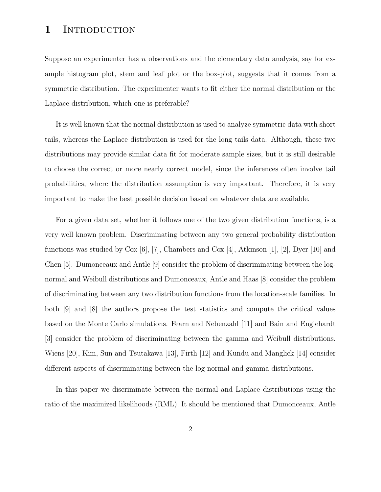# 1 INTRODUCTION

Suppose an experimenter has n observations and the elementary data analysis, say for example histogram plot, stem and leaf plot or the box-plot, suggests that it comes from a symmetric distribution. The experimenter wants to fit either the normal distribution or the Laplace distribution, which one is preferable?

It is well known that the normal distribution is used to analyze symmetric data with short tails, whereas the Laplace distribution is used for the long tails data. Although, these two distributions may provide similar data fit for moderate sample sizes, but it is still desirable to choose the correct or more nearly correct model, since the inferences often involve tail probabilities, where the distribution assumption is very important. Therefore, it is very important to make the best possible decision based on whatever data are available.

For a given data set, whether it follows one of the two given distribution functions, is a very well known problem. Discriminating between any two general probability distribution functions was studied by  $\text{Cox}$  [6], [7], Chambers and  $\text{Cox}$  [4], Atkinson [1], [2], Dyer [10] and Chen [5]. Dumonceaux and Antle [9] consider the problem of discriminating between the lognormal and Weibull distributions and Dumonceaux, Antle and Haas [8] consider the problem of discriminating between any two distribution functions from the location-scale families. In both [9] and [8] the authors propose the test statistics and compute the critical values based on the Monte Carlo simulations. Fearn and Nebenzahl [11] and Bain and Englehardt [3] consider the problem of discriminating between the gamma and Weibull distributions. Wiens [20], Kim, Sun and Tsutakawa [13], Firth [12] and Kundu and Manglick [14] consider different aspects of discriminating between the log-normal and gamma distributions.

In this paper we discriminate between the normal and Laplace distributions using the ratio of the maximized likelihoods (RML). It should be mentioned that Dumonceaux, Antle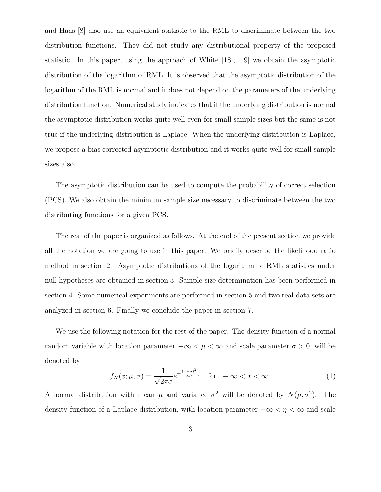and Haas [8] also use an equivalent statistic to the RML to discriminate between the two distribution functions. They did not study any distributional property of the proposed statistic. In this paper, using the approach of White [18], [19] we obtain the asymptotic distribution of the logarithm of RML. It is observed that the asymptotic distribution of the logarithm of the RML is normal and it does not depend on the parameters of the underlying distribution function. Numerical study indicates that if the underlying distribution is normal the asymptotic distribution works quite well even for small sample sizes but the same is not true if the underlying distribution is Laplace. When the underlying distribution is Laplace, we propose a bias corrected asymptotic distribution and it works quite well for small sample sizes also.

The asymptotic distribution can be used to compute the probability of correct selection (PCS). We also obtain the minimum sample size necessary to discriminate between the two distributing functions for a given PCS.

The rest of the paper is organized as follows. At the end of the present section we provide all the notation we are going to use in this paper. We briefly describe the likelihood ratio method in section 2. Asymptotic distributions of the logarithm of RML statistics under null hypotheses are obtained in section 3. Sample size determination has been performed in section 4. Some numerical experiments are performed in section 5 and two real data sets are analyzed in section 6. Finally we conclude the paper in section 7.

We use the following notation for the rest of the paper. The density function of a normal random variable with location parameter  $-\infty < \mu < \infty$  and scale parameter  $\sigma > 0$ , will be denoted by

$$
f_N(x; \mu, \sigma) = \frac{1}{\sqrt{2\pi}\sigma} e^{-\frac{(x-\mu)^2}{2\sigma^2}}; \quad \text{for } -\infty < x < \infty. \tag{1}
$$

A normal distribution with mean  $\mu$  and variance  $\sigma^2$  will be denoted by  $N(\mu, \sigma^2)$ . The density function of a Laplace distribution, with location parameter  $-\infty < \eta < \infty$  and scale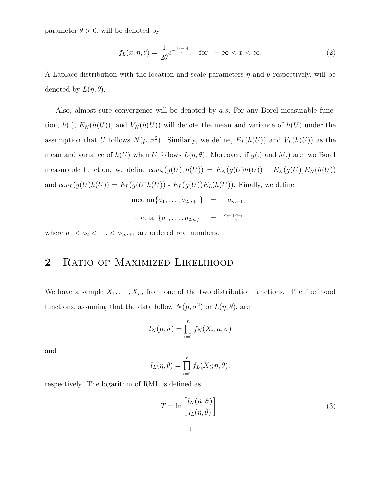parameter  $\theta > 0$ , will be denoted by

$$
f_L(x; \eta, \theta) = \frac{1}{2\theta} e^{-\frac{|x - \eta|}{\theta}}; \quad \text{for} \quad -\infty < x < \infty. \tag{2}
$$

A Laplace distribution with the location and scale parameters  $\eta$  and  $\theta$  respectively, will be denoted by  $L(\eta, \theta)$ .

Also, almost sure convergence will be denoted by  $a.s.$  For any Borel measurable function,  $h(.)$ ,  $E_N(h(U))$ , and  $V_N(h(U))$  will denote the mean and variance of  $h(U)$  under the assumption that U follows  $N(\mu, \sigma^2)$ . Similarly, we define,  $E_L(h(U))$  and  $V_L(h(U))$  as the mean and variance of  $h(U)$  when U follows  $L(\eta, \theta)$ . Moreover, if  $g(.)$  and  $h(.)$  are two Borel measurable function, we define  $cov_N(g(U), h(U)) = E_N(g(U)h(U)) - E_N(g(U))E_N(h(U))$ and  $cov_L(g(U)h(U)) = E_L(g(U)h(U))$  -  $E_L(g(U))E_L(h(U))$ . Finally, we define  $\text{median}\{a_1, \ldots, a_{2m+1}\} = a_{m+1}$ 

$$
\text{median}\{a_1, \dots, a_{2m}\} = \frac{a_{m} + a_{m+1}}{2},
$$
\n
$$
\text{median}\{a_1, \dots, a_{2m}\} = \frac{a_{m} + a_{m+1}}{2}
$$

where  $a_1 < a_2 < \ldots < a_{2m+1}$  are ordered real numbers.

### 2 RATIO OF MAXIMIZED LIKELIHOOD

We have a sample  $X_1, \ldots, X_n$ , from one of the two distribution functions. The likelihood functions, assuming that the data follow  $N(\mu, \sigma^2)$  or  $L(\eta, \theta)$ , are

$$
l_N(\mu, \sigma) = \prod_{i=1}^n f_N(X_i; \mu, \sigma)
$$

and

$$
l_L(\eta, \theta) = \prod_{i=1}^n f_L(X_i; \eta, \theta),
$$

respectively. The logarithm of RML is defined as

$$
T = \ln\left[\frac{l_N(\hat{\mu}, \hat{\sigma})}{l_L(\hat{\eta}, \hat{\theta})}\right].
$$
\n(3)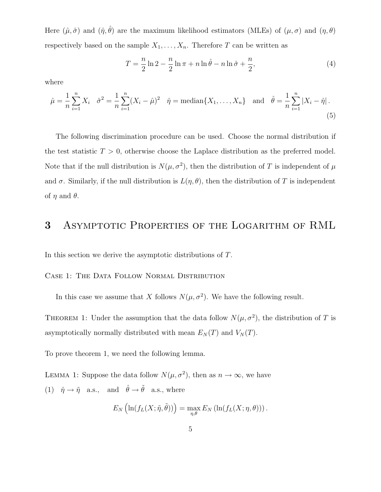Here  $(\hat{\mu}, \hat{\sigma})$  and  $(\hat{\eta}, \hat{\theta})$  are the maximum likelihood estimators (MLEs) of  $(\mu, \sigma)$  and  $(\eta, \theta)$ respectively based on the sample  $X_1, \ldots, X_n$ . Therefore T can be written as

$$
T = \frac{n}{2}\ln 2 - \frac{n}{2}\ln \pi + n\ln \hat{\theta} - n\ln \hat{\sigma} + \frac{n}{2},\tag{4}
$$

where

$$
\hat{\mu} = \frac{1}{n} \sum_{i=1}^{n} X_i \quad \hat{\sigma}^2 = \frac{1}{n} \sum_{i=1}^{n} (X_i - \hat{\mu})^2 \quad \hat{\eta} = \text{median}\{X_1, \dots, X_n\} \quad \text{and} \quad \hat{\theta} = \frac{1}{n} \sum_{i=1}^{n} |X_i - \hat{\eta}|.
$$
\n(5)

The following discrimination procedure can be used. Choose the normal distribution if the test statistic  $T > 0$ , otherwise choose the Laplace distribution as the preferred model. Note that if the null distribution is  $N(\mu, \sigma^2)$ , then the distribution of T is independent of  $\mu$ and  $\sigma$ . Similarly, if the null distribution is  $L(\eta, \theta)$ , then the distribution of T is independent of  $\eta$  and  $\theta$ .

#### 3 Asymptotic Properties of the Logarithm of RML

In this section we derive the asymptotic distributions of T.

#### CASE 1: THE DATA FOLLOW NORMAL DISTRIBUTION

In this case we assume that X follows  $N(\mu, \sigma^2)$ . We have the following result.

THEOREM 1: Under the assumption that the data follow  $N(\mu, \sigma^2)$ , the distribution of T is asymptotically normally distributed with mean  $E<sub>N</sub>(T)$  and  $V<sub>N</sub>(T)$ .

To prove theorem 1, we need the following lemma.

LEMMA 1: Suppose the data follow  $N(\mu, \sigma^2)$ , then as  $n \to \infty$ , we have (1)  $\hat{\eta} \rightarrow \tilde{\eta}$  a.s., and  $\hat{\theta} \rightarrow \tilde{\theta}$  a.s., where

$$
E_N\left(\ln(f_L(X;\tilde{\eta},\tilde{\theta}))\right) = \max_{\eta,\theta} E_N\left(\ln(f_L(X;\eta,\theta))\right).
$$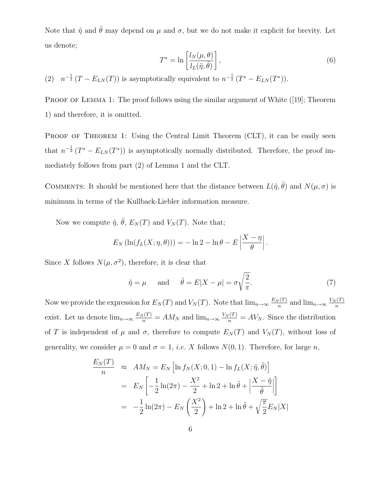Note that  $\tilde{\eta}$  and  $\tilde{\theta}$  may depend on  $\mu$  and  $\sigma$ , but we do not make it explicit for brevity. Let us denote;

$$
T^* = \ln\left[\frac{l_N(\mu,\theta)}{l_L(\tilde{\eta},\tilde{\theta})}\right],\tag{6}
$$

(2)  $n^{-\frac{1}{2}}(T - E_{LN}(T))$  is asymptotically equivalent to  $n^{-\frac{1}{2}}(T^* - E_{LN}(T^*)$ .

PROOF OF LEMMA 1: The proof follows using the similar argument of White ([19]; Theorem 1) and therefore, it is omitted.

PROOF OF THEOREM 1: Using the Central Limit Theorem (CLT), it can be easily seen that  $n^{-\frac{1}{2}}(T^* - E_{LN}(T^*))$  is asymptotically normally distributed. Therefore, the proof immediately follows from part (2) of Lemma 1 and the CLT.

COMMENTS: It should be mentioned here that the distance between  $L(\tilde{\eta}, \tilde{\theta})$  and  $N(\mu, \sigma)$  is minimum in terms of the Kullback-Liebler information measure.

Now we compute  $\tilde{\eta}$ ,  $\tilde{\theta}$ ,  $E_N(T)$  and  $V_N(T)$ . Note that;

$$
E_N\left(\ln(f_L(X;\eta,\theta))\right) = -\ln 2 - \ln \theta - E\left|\frac{X-\eta}{\theta}\right|.
$$

Since X follows  $N(\mu, \sigma^2)$ , therefore, it is clear that

$$
\tilde{\eta} = \mu
$$
 and  $\tilde{\theta} = E|X - \mu| = \sigma \sqrt{\frac{2}{\pi}}$ . (7)

Now we provide the expression for  $E_N(T)$  and  $V_N(T)$ . Note that  $\lim_{n\to\infty} \frac{E_N(T)}{n}$  $\frac{N(T)}{n}$  and  $\lim_{n\to\infty} \frac{V_N(T)}{n}$ n exist. Let us denote  $\lim_{n\to\infty} \frac{E_N(T)}{n} = AM_N$  and  $\lim_{n\to\infty} \frac{V_N(T)}{n} = AV_N$ . Since the distribution of T is independent of  $\mu$  and  $\sigma$ , therefore to compute  $E_N(T)$  and  $V_N(T)$ , without loss of generality, we consider  $\mu = 0$  and  $\sigma = 1$ , *i.e.* X follows  $N(0, 1)$ . Therefore, for large n,

$$
\frac{E_N(T)}{n} \approx AM_N = E_N \left[ \ln f_N(X; 0, 1) - \ln f_L(X; \tilde{\eta}, \tilde{\theta}) \right]
$$

$$
= E_N \left[ -\frac{1}{2} \ln(2\pi) - \frac{X^2}{2} + \ln 2 + \ln \tilde{\theta} + \left| \frac{X - \tilde{\eta}}{\tilde{\theta}} \right| \right]
$$

$$
= -\frac{1}{2} \ln(2\pi) - E_N \left( \frac{X^2}{2} \right) + \ln 2 + \ln \tilde{\theta} + \sqrt{\frac{\pi}{2}} E_N |X|
$$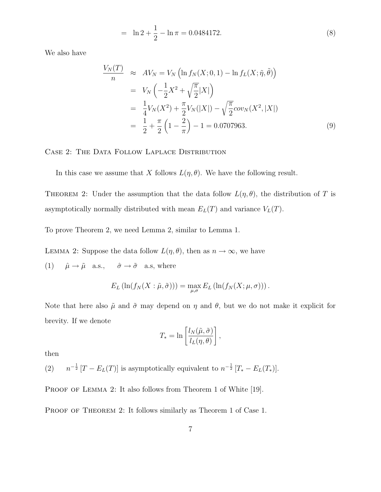$$
= \ln 2 + \frac{1}{2} - \ln \pi = 0.0484172. \tag{8}
$$

We also have

$$
\frac{V_N(T)}{n} \approx AV_N = V_N \left( \ln f_N(X; 0, 1) - \ln f_L(X; \tilde{\eta}, \tilde{\theta}) \right)
$$
  
=  $V_N \left( -\frac{1}{2} X^2 + \sqrt{\frac{\pi}{2}} |X| \right)$   
=  $\frac{1}{4} V_N(X^2) + \frac{\pi}{2} V_N(|X|) - \sqrt{\frac{\pi}{2}} cov_N(X^2, |X|)$   
=  $\frac{1}{2} + \frac{\pi}{2} \left( 1 - \frac{2}{\pi} \right) - 1 = 0.0707963.$  (9)

CASE 2: THE DATA FOLLOW LAPLACE DISTRIBUTION

In this case we assume that X follows  $L(\eta, \theta)$ . We have the following result.

THEOREM 2: Under the assumption that the data follow  $L(\eta, \theta)$ , the distribution of T is asymptotically normally distributed with mean  $E_L(T)$  and variance  $V_L(T)$ .

To prove Theorem 2, we need Lemma 2, similar to Lemma 1.

LEMMA 2: Suppose the data follow  $L(\eta, \theta)$ , then as  $n \to \infty$ , we have

(1)  $\hat{\mu} \rightarrow \tilde{\mu}$  a.s.,  $\hat{\sigma} \rightarrow \tilde{\sigma}$  a.s, where

$$
E_L\left(\ln(f_N(X:\tilde{\mu},\tilde{\sigma}))\right)=\max_{\mu,\sigma}E_L\left(\ln(f_N(X;\mu,\sigma))\right).
$$

Note that here also  $\tilde{\mu}$  and  $\tilde{\sigma}$  may depend on  $\eta$  and  $\theta$ , but we do not make it explicit for brevity. If we denote

$$
T_* = \ln\left[\frac{l_N(\tilde{\mu}, \tilde{\sigma})}{l_L(\eta, \theta)}\right],
$$

then

 $(2)$  $^{-\frac{1}{2}}$  [T –  $E_L(T)$ ] is asymptotically equivalent to  $n^{-\frac{1}{2}}$  [T<sub>\*</sub> –  $E_L(T_*)$ ].

PROOF OF LEMMA 2: It also follows from Theorem 1 of White [19].

PROOF OF THEOREM 2: It follows similarly as Theorem 1 of Case 1.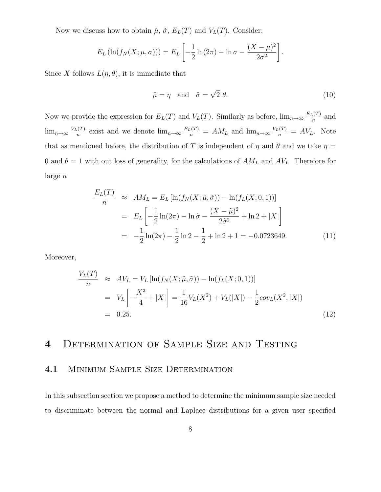Now we discuss how to obtain  $\tilde{\mu}$ ,  $\tilde{\sigma}$ ,  $E_L(T)$  and  $V_L(T)$ . Consider;

$$
E_L(\ln(f_N(X; \mu, \sigma))) = E_L\left[-\frac{1}{2}\ln(2\pi) - \ln \sigma - \frac{(X - \mu)^2}{2\sigma^2}\right].
$$

Since X follows  $L(\eta, \theta)$ , it is immediate that

$$
\tilde{\mu} = \eta \quad \text{and} \quad \tilde{\sigma} = \sqrt{2} \; \theta. \tag{10}
$$

Now we provide the expression for  $E_L(T)$  and  $V_L(T)$ . Similarly as before,  $\lim_{n\to\infty}\frac{E_L(T)}{n}$  $\frac{n^{(1)}}{n}$  and  $\lim_{n\to\infty}\frac{V_L(T)}{n}$  $\frac{E_n(T)}{n}$  exist and we denote  $\lim_{n\to\infty} \frac{E_L(T)}{n} = AM_L$  and  $\lim_{n\to\infty} \frac{V_L(T)}{n} = AV_L$ . Note that as mentioned before, the distribution of T is independent of  $\eta$  and  $\theta$  and we take  $\eta$  = 0 and  $\theta = 1$  with out loss of generality, for the calculations of  $AM<sub>L</sub>$  and  $AV<sub>L</sub>$ . Therefore for large n

$$
\frac{E_L(T)}{n} \approx AM_L = E_L [\ln(f_N(X; \tilde{\mu}, \tilde{\sigma})) - \ln(f_L(X; 0, 1))]
$$
  
=  $E_L \left[ -\frac{1}{2} \ln(2\pi) - \ln \tilde{\sigma} - \frac{(X - \tilde{\mu})^2}{2\tilde{\sigma}^2} + \ln 2 + |X| \right]$   
=  $-\frac{1}{2} \ln(2\pi) - \frac{1}{2} \ln 2 - \frac{1}{2} + \ln 2 + 1 = -0.0723649.$  (11)

Moreover,

$$
\frac{V_L(T)}{n} \approx AV_L = V_L [\ln(f_N(X; \tilde{\mu}, \tilde{\sigma})) - \ln(f_L(X; 0, 1))]
$$
  
=  $V_L \left[ -\frac{X^2}{4} + |X| \right] = \frac{1}{16} V_L(X^2) + V_L(|X|) - \frac{1}{2} cov_L(X^2, |X|)$   
= 0.25. (12)

# 4 Determination of Sample Size and Testing

#### 4.1 MINIMUM SAMPLE SIZE DETERMINATION

In this subsection section we propose a method to determine the minimum sample size needed to discriminate between the normal and Laplace distributions for a given user specified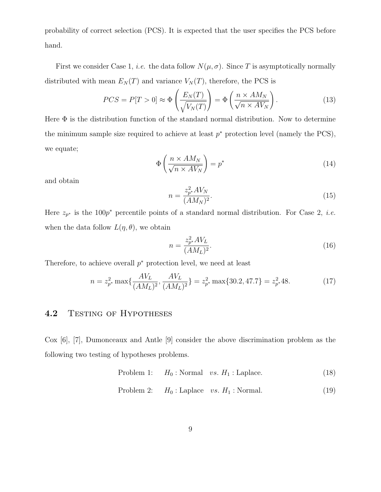probability of correct selection (PCS). It is expected that the user specifies the PCS before hand.

First we consider Case 1, *i.e.* the data follow  $N(\mu, \sigma)$ . Since T is asymptotically normally distributed with mean  $E_N(T)$  and variance  $V_N(T)$ , therefore, the PCS is

$$
PCS = P[T > 0] \approx \Phi\left(\frac{E_N(T)}{\sqrt{V_N(T)}}\right) = \Phi\left(\frac{n \times AM_N}{\sqrt{n \times AV_N}}\right). \tag{13}
$$

Here  $\Phi$  is the distribution function of the standard normal distribution. Now to determine the minimum sample size required to achieve at least  $p^*$  protection level (namely the PCS), we equate;

$$
\Phi\left(\frac{n \times AM_N}{\sqrt{n \times AV_N}}\right) = p^*
$$
\n(14)

and obtain

$$
n = \frac{z_{p^*}^2 A V_N}{(A M_N)^2}.
$$
\n(15)

Here  $z_{p^*}$  is the 100 $p^*$  percentile points of a standard normal distribution. For Case 2, *i.e.* when the data follow  $L(\eta, \theta)$ , we obtain

$$
n = \frac{z_{p^*}^2 A V_L}{(AM_L)^2}.
$$
\n(16)

Therefore, to achieve overall  $p^*$  protection level, we need at least

$$
n = z_{p^*}^2 \max\{\frac{AV_L}{(AM_L)^2}, \frac{AV_L}{(AM_L)^2}\} = z_{p^*}^2 \max\{30.2, 47.7\} = z_{p^*}^2 48. \tag{17}
$$

# 4.2 TESTING OF HYPOTHESES

Cox [6], [7], Dumonceaux and Antle [9] consider the above discrimination problem as the following two testing of hypotheses problems.

Problem 1: 
$$
H_0
$$
: Normal *vs.*  $H_1$ : Laplace. (18)

Problem 2: 
$$
H_0
$$
: Laplace *vs.*  $H_1$ : Normal. (19)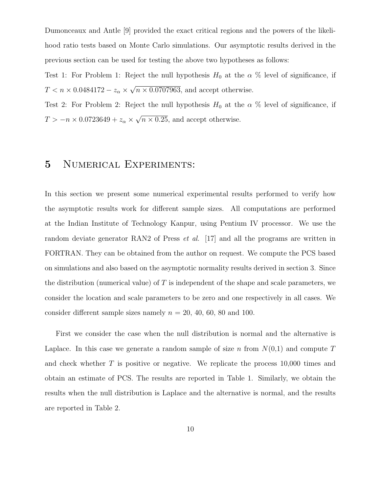Dumonceaux and Antle [9] provided the exact critical regions and the powers of the likelihood ratio tests based on Monte Carlo simulations. Our asymptotic results derived in the previous section can be used for testing the above two hypotheses as follows:

Test 1: For Problem 1: Reject the null hypothesis  $H_0$  at the  $\alpha$  % level of significance, if  $T < n \times 0.0484172 - z_{\alpha} \times \sqrt{n \times 0.0707963}$ , and accept otherwise.

Test 2: For Problem 2: Reject the null hypothesis  $H_0$  at the  $\alpha$  % level of significance, if  $T > -n \times 0.0723649 + z_{\alpha} \times \sqrt{n \times 0.25}$ , and accept otherwise.

# 5 Numerical Experiments:

In this section we present some numerical experimental results performed to verify how the asymptotic results work for different sample sizes. All computations are performed at the Indian Institute of Technology Kanpur, using Pentium IV processor. We use the random deviate generator RAN2 of Press *et al.* [17] and all the programs are written in FORTRAN. They can be obtained from the author on request. We compute the PCS based on simulations and also based on the asymptotic normality results derived in section 3. Since the distribution (numerical value) of  $T$  is independent of the shape and scale parameters, we consider the location and scale parameters to be zero and one respectively in all cases. We consider different sample sizes namely  $n = 20, 40, 60, 80$  and 100.

First we consider the case when the null distribution is normal and the alternative is Laplace. In this case we generate a random sample of size n from  $N(0,1)$  and compute T and check whether T is positive or negative. We replicate the process 10,000 times and obtain an estimate of PCS. The results are reported in Table 1. Similarly, we obtain the results when the null distribution is Laplace and the alternative is normal, and the results are reported in Table 2.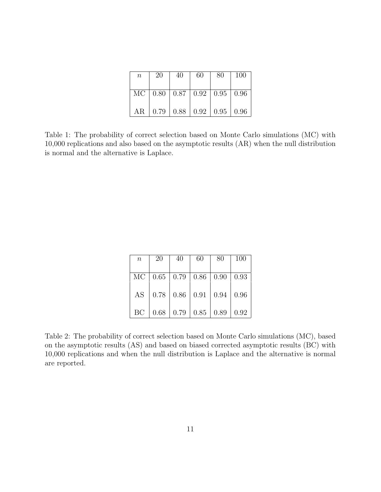| $\, n$ | 20 | 40                                              | 60 | 80 | 100 |
|--------|----|-------------------------------------------------|----|----|-----|
|        |    | MC   $0.80$   $0.87$   $0.92$   $0.95$   $0.96$ |    |    |     |
|        |    | AR   0.79   0.88   0.92   0.95   0.96           |    |    |     |

Table 1: The probability of correct selection based on Monte Carlo simulations (MC) with 10,000 replications and also based on the asymptotic results (AR) when the null distribution is normal and the alternative is Laplace.

| $\boldsymbol{n}$ | <b>20</b> | 40                                                                | 60 | $80-$ | $\mid$ 100 |
|------------------|-----------|-------------------------------------------------------------------|----|-------|------------|
|                  |           |                                                                   |    |       |            |
|                  |           | MC   0.65   0.79   0.86   0.90   0.93                             |    |       |            |
|                  |           |                                                                   |    |       |            |
|                  |           | AS   0.78   0.86   0.91   0.94   0.96                             |    |       |            |
|                  |           |                                                                   |    |       |            |
|                  |           | BC $\vert 0.68 \vert 0.79 \vert 0.85 \vert 0.89 \vert 0.92 \vert$ |    |       |            |

Table 2: The probability of correct selection based on Monte Carlo simulations (MC), based on the asymptotic results (AS) and based on biased corrected asymptotic results (BC) with 10,000 replications and when the null distribution is Laplace and the alternative is normal are reported.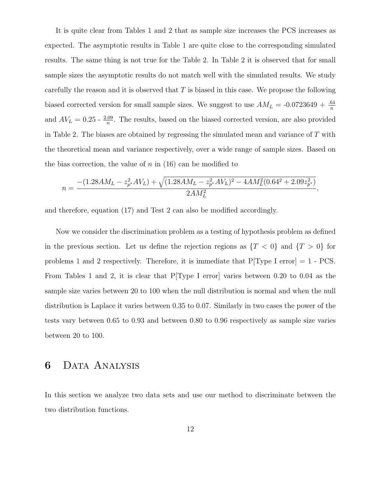It is quite clear from Tables 1 and 2 that as sample size increases the PCS increases as expected. The asymptotic results in Table 1 are quite close to the corresponding simulated results. The same thing is not true for the Table 2. In Table 2 it is observed that for small sample sizes the asymptotic results do not match well with the simulated results. We study carefully the reason and it is observed that  $T$  is biased in this case. We propose the following biased corrected version for small sample sizes. We suggest to use  $AM_L = -0.0723649 + \frac{.64}{n}$ n and  $AV_L = 0.25 - \frac{2.09}{n}$  $\frac{109}{n}$ . The results, based on the biased corrected version, are also provided in Table 2. The biases are obtained by regressing the simulated mean and variance of  $T$  with the theoretical mean and variance respectively, over a wide range of sample sizes. Based on the bias correction, the value of  $n$  in (16) can be modified to

$$
n = \frac{- (1.28AM_L - z_{p*}^2 AV_L) + \sqrt{(1.28AM_L - z_{p*}^2 AV_L)^2 - 4AM_L^2(0.64^2 + 2.09z_{p*}^2)}}{2AM_L^2},
$$

and therefore, equation (17) and Test 2 can also be modified accordingly.

Now we consider the discrimination problem as a testing of hypothesis problem as defined in the previous section. Let us define the rejection regions as  $\{T < 0\}$  and  $\{T > 0\}$  for problems 1 and 2 respectively. Therefore, it is immediate that  $P[Type I error] = 1 - PCS$ . From Tables 1 and 2, it is clear that P[Type I error] varies between 0.20 to 0.04 as the sample size varies between 20 to 100 when the null distribution is normal and when the null distribution is Laplace it varies between 0.35 to 0.07. Similarly in two cases the power of the tests vary between 0.65 to 0.93 and between 0.80 to 0.96 respectively as sample size varies between 20 to 100.

#### 6 Data Analysis

In this section we analyze two data sets and use our method to discriminate between the two distribution functions.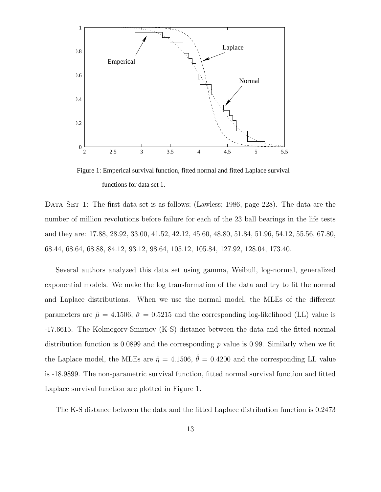

Figure 1: Emperical survival function, fitted normal and fitted Laplace survival functions for data set 1.

DATA SET 1: The first data set is as follows; (Lawless; 1986, page 228). The data are the number of million revolutions before failure for each of the 23 ball bearings in the life tests and they are: 17.88, 28.92, 33.00, 41.52, 42.12, 45.60, 48.80, 51.84, 51.96, 54.12, 55.56, 67.80, 68.44, 68.64, 68.88, 84.12, 93.12, 98.64, 105.12, 105.84, 127.92, 128.04, 173.40.

Several authors analyzed this data set using gamma, Weibull, log-normal, generalized exponential models. We make the log transformation of the data and try to fit the normal and Laplace distributions. When we use the normal model, the MLEs of the different parameters are  $\hat{\mu} = 4.1506$ ,  $\hat{\sigma} = 0.5215$  and the corresponding log-likelihood (LL) value is -17.6615. The Kolmogorv-Smirnov (K-S) distance between the data and the fitted normal distribution function is 0.0899 and the corresponding  $p$  value is 0.99. Similarly when we fit the Laplace model, the MLEs are  $\hat{\eta} = 4.1506$ ,  $\hat{\theta} = 0.4200$  and the corresponding LL value is -18.9899. The non-parametric survival function, fitted normal survival function and fitted Laplace survival function are plotted in Figure 1.

The K-S distance between the data and the fitted Laplace distribution function is 0.2473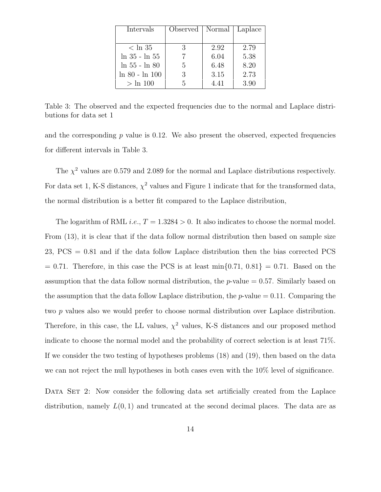| Intervals         | Observed   Normal |      | Laplace |
|-------------------|-------------------|------|---------|
|                   |                   |      |         |
| $<\ln 35$         | 3                 | 2.92 | 2.79    |
| $\ln 35 - \ln 55$ |                   | 6.04 | 5.38    |
| $\ln 55 - \ln 80$ | 5                 | 6.48 | 8.20    |
| ln 80 - ln 100    | 3                 | 3.15 | 2.73    |
| $> \ln 100$       | 5                 | 4.41 | 3.90    |

Table 3: The observed and the expected frequencies due to the normal and Laplace distributions for data set 1

and the corresponding  $p$  value is 0.12. We also present the observed, expected frequencies for different intervals in Table 3.

The  $\chi^2$  values are 0.579 and 2.089 for the normal and Laplace distributions respectively. For data set 1, K-S distances,  $\chi^2$  values and Figure 1 indicate that for the transformed data, the normal distribution is a better fit compared to the Laplace distribution,

The logarithm of RML *i.e.*,  $T = 1.3284 > 0$ . It also indicates to choose the normal model. From (13), it is clear that if the data follow normal distribution then based on sample size 23, PCS = 0.81 and if the data follow Laplace distribution then the bias corrected PCS  $= 0.71$ . Therefore, in this case the PCS is at least min $\{0.71, 0.81\} = 0.71$ . Based on the assumption that the data follow normal distribution, the  $p$ -value  $= 0.57$ . Similarly based on the assumption that the data follow Laplace distribution, the  $p$ -value  $= 0.11$ . Comparing the two p values also we would prefer to choose normal distribution over Laplace distribution. Therefore, in this case, the LL values,  $\chi^2$  values, K-S distances and our proposed method indicate to choose the normal model and the probability of correct selection is at least 71%. If we consider the two testing of hypotheses problems (18) and (19), then based on the data we can not reject the null hypotheses in both cases even with the 10% level of significance.

DATA SET 2: Now consider the following data set artificially created from the Laplace distribution, namely  $L(0, 1)$  and truncated at the second decimal places. The data are as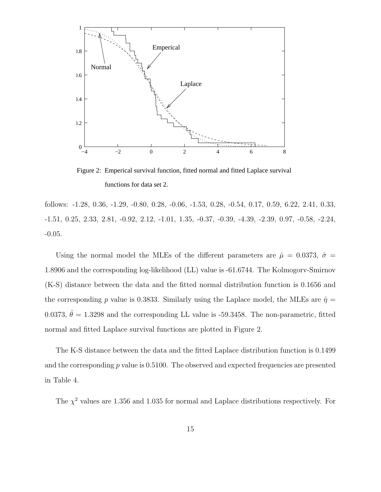

Figure 2: Emperical survival function, fitted normal and fitted Laplace survival functions for data set 2.

follows: -1.28, 0.36, -1.29, -0.80, 0.28, -0.06, -1.53, 0.28, -0.54, 0.17, 0.59, 6.22, 2.41, 0.33, -1.51, 0.25, 2.33, 2.81, -0.92, 2.12, -1.01, 1.35, -0.37, -0.39, -4.39, -2.39, 0.97, -0.58, -2.24, -0.05.

Using the normal model the MLEs of the different parameters are  $\hat{\mu} = 0.0373, \ \hat{\sigma} =$ 1.8906 and the corresponding log-likelihood (LL) value is -61.6744. The Kolmogorv-Smirnov (K-S) distance between the data and the fitted normal distribution function is 0.1656 and the corresponding p value is 0.3833. Similarly using the Laplace model, the MLEs are  $\hat{\eta} =$ 0.0373,  $\hat{\theta} = 1.3298$  and the corresponding LL value is -59.3458. The non-parametric, fitted normal and fitted Laplace survival functions are plotted in Figure 2.

The K-S distance between the data and the fitted Laplace distribution function is 0.1499 and the corresponding  $p$  value is 0.5100. The observed and expected frequencies are presented in Table 4.

The  $\chi^2$  values are 1.356 and 1.035 for normal and Laplace distributions respectively. For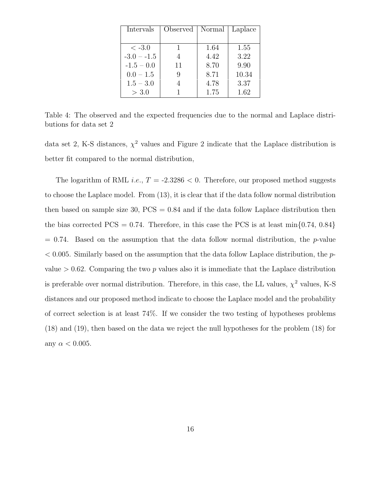| Intervals    | Observed | Normal | Laplace |
|--------------|----------|--------|---------|
|              |          |        |         |
| $<-3.0$      |          | 1.64   | 1.55    |
| $-3.0 - 1.5$ |          | 4.42   | 3.22    |
| $-1.5 - 0.0$ | 11       | 8.70   | 9.90    |
| $0.0 - 1.5$  |          | 8.71   | 10.34   |
| $1.5 - 3.0$  |          | 4.78   | 3.37    |
| > 3.0        |          | 1.75   | 1.62    |

Table 4: The observed and the expected frequencies due to the normal and Laplace distributions for data set 2

data set 2, K-S distances,  $\chi^2$  values and Figure 2 indicate that the Laplace distribution is better fit compared to the normal distribution,

The logarithm of RML *i.e.*,  $T = -2.3286 < 0$ . Therefore, our proposed method suggests to choose the Laplace model. From (13), it is clear that if the data follow normal distribution then based on sample size  $30$ ,  $PCS = 0.84$  and if the data follow Laplace distribution then the bias corrected PCS = 0.74. Therefore, in this case the PCS is at least  $\min\{0.74, 0.84\}$  $= 0.74$ . Based on the assumption that the data follow normal distribution, the p-value  $< 0.005$ . Similarly based on the assumption that the data follow Laplace distribution, the pvalue  $> 0.62$ . Comparing the two p values also it is immediate that the Laplace distribution is preferable over normal distribution. Therefore, in this case, the LL values,  $\chi^2$  values, K-S distances and our proposed method indicate to choose the Laplace model and the probability of correct selection is at least 74%. If we consider the two testing of hypotheses problems (18) and (19), then based on the data we reject the null hypotheses for the problem (18) for any  $\alpha < 0.005$ .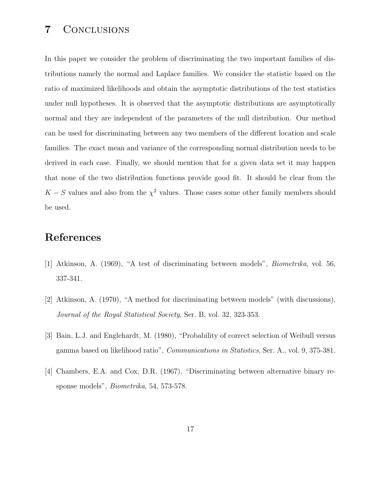# 7 Conclusions

In this paper we consider the problem of discriminating the two important families of distributions namely the normal and Laplace families. We consider the statistic based on the ratio of maximized likelihoods and obtain the asymptotic distributions of the test statistics under null hypotheses. It is observed that the asymptotic distributions are asymptotically normal and they are independent of the parameters of the null distribution. Our method can be used for discriminating between any two members of the different location and scale families. The exact mean and variance of the corresponding normal distribution needs to be derived in each case. Finally, we should mention that for a given data set it may happen that none of the two distribution functions provide good fit. It should be clear from the  $K-S$  values and also from the  $\chi^2$  values. Those cases some other family members should be used.

# References

- [1] Atkinson, A. (1969), "A test of discriminating between models", Biometrika, vol. 56, 337-341.
- [2] Atkinson, A. (1970), "A method for discriminating between models" (with discussions), Journal of the Royal Statistical Society, Ser. B, vol. 32, 323-353.
- [3] Bain, L.J. and Englehardt, M. (1980), "Probability of correct selection of Weibull versus gamma based on likelihood ratio", Communications in Statistics, Ser. A., vol. 9, 375-381.
- [4] Chambers, E.A. and Cox, D.R. (1967), "Discriminating between alternative binary response models", Biometrika, 54, 573-578.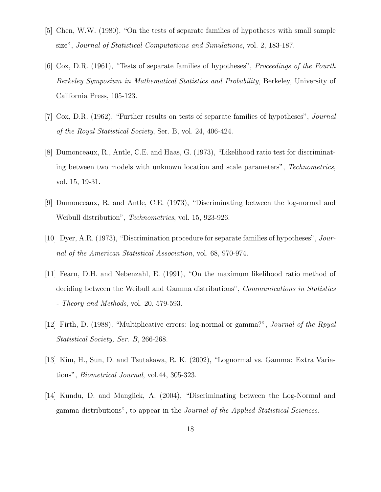- [5] Chen, W.W. (1980), "On the tests of separate families of hypotheses with small sample size", Journal of Statistical Computations and Simulations, vol. 2, 183-187.
- [6] Cox, D.R. (1961), "Tests of separate families of hypotheses", Proceedings of the Fourth Berkeley Symposium in Mathematical Statistics and Probability, Berkeley, University of California Press, 105-123.
- [7] Cox, D.R. (1962), "Further results on tests of separate families of hypotheses", Journal of the Royal Statistical Society, Ser. B, vol. 24, 406-424.
- [8] Dumonceaux, R., Antle, C.E. and Haas, G. (1973), "Likelihood ratio test for discriminating between two models with unknown location and scale parameters", Technometrics, vol. 15, 19-31.
- [9] Dumonceaux, R. and Antle, C.E. (1973), "Discriminating between the log-normal and Weibull distribution", Technometrics, vol. 15, 923-926.
- [10] Dyer, A.R. (1973), "Discrimination procedure for separate families of hypotheses", Journal of the American Statistical Association, vol. 68, 970-974.
- [11] Fearn, D.H. and Nebenzahl, E. (1991), "On the maximum likelihood ratio method of deciding between the Weibull and Gamma distributions", *Communications in Statistics* - Theory and Methods, vol. 20, 579-593.
- [12] Firth, D. (1988), "Multiplicative errors: log-normal or gamma?", Journal of the Rpyal Statistical Society, Ser. B, 266-268.
- [13] Kim, H., Sun, D. and Tsutakawa, R. K. (2002), "Lognormal vs. Gamma: Extra Variations", Biometrical Journal, vol.44, 305-323.
- [14] Kundu, D. and Manglick, A. (2004), "Discriminating between the Log-Normal and gamma distributions", to appear in the Journal of the Applied Statistical Sciences.